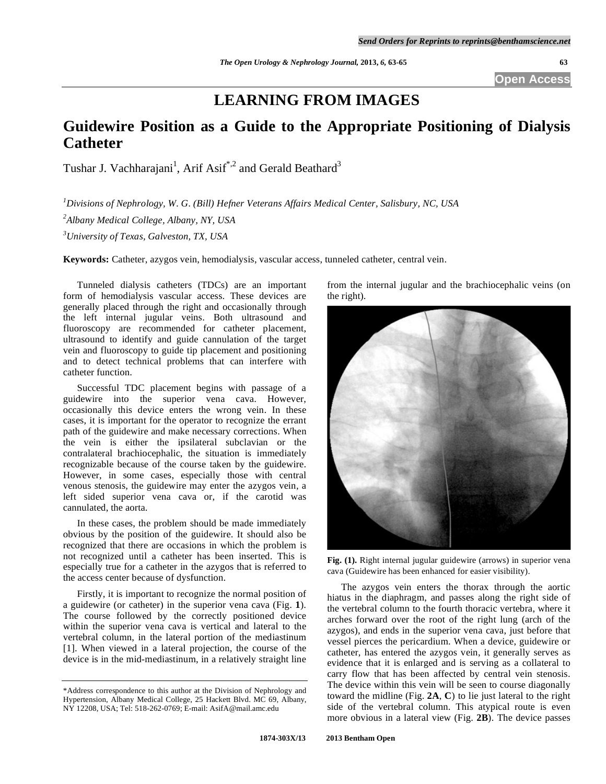**Open Access** 

# **LEARNING FROM IMAGES**

## **Guidewire Position as a Guide to the Appropriate Positioning of Dialysis Catheter**

Tushar J. Vachharajani<sup>1</sup>, Arif Asif<sup>\*,2</sup> and Gerald Beathard<sup>3</sup>

*1 Divisions of Nephrology, W. G. (Bill) Hefner Veterans Affairs Medical Center, Salisbury, NC, USA 2 Albany Medical College, Albany, NY, USA 3 University of Texas, Galveston, TX, USA* 

**Keywords:** Catheter, azygos vein, hemodialysis, vascular access, tunneled catheter, central vein.

 Tunneled dialysis catheters (TDCs) are an important form of hemodialysis vascular access. These devices are generally placed through the right and occasionally through the left internal jugular veins. Both ultrasound and fluoroscopy are recommended for catheter placement, ultrasound to identify and guide cannulation of the target vein and fluoroscopy to guide tip placement and positioning and to detect technical problems that can interfere with catheter function.

 Successful TDC placement begins with passage of a guidewire into the superior vena cava. However, occasionally this device enters the wrong vein. In these cases, it is important for the operator to recognize the errant path of the guidewire and make necessary corrections. When the vein is either the ipsilateral subclavian or the contralateral brachiocephalic, the situation is immediately recognizable because of the course taken by the guidewire. However, in some cases, especially those with central venous stenosis, the guidewire may enter the azygos vein, a left sided superior vena cava or, if the carotid was cannulated, the aorta.

 In these cases, the problem should be made immediately obvious by the position of the guidewire. It should also be recognized that there are occasions in which the problem is not recognized until a catheter has been inserted. This is especially true for a catheter in the azygos that is referred to the access center because of dysfunction.

 Firstly, it is important to recognize the normal position of a guidewire (or catheter) in the superior vena cava (Fig. **1**). The course followed by the correctly positioned device within the superior vena cava is vertical and lateral to the vertebral column, in the lateral portion of the mediastinum [1]. When viewed in a lateral projection, the course of the device is in the mid-mediastinum, in a relatively straight line

from the internal jugular and the brachiocephalic veins (on the right).



**Fig. (1).** Right internal jugular guidewire (arrows) in superior vena cava (Guidewire has been enhanced for easier visibility).

 The azygos vein enters the thorax through the aortic hiatus in the diaphragm, and passes along the right side of the vertebral column to the fourth thoracic vertebra, where it arches forward over the root of the right lung (arch of the azygos), and ends in the superior vena cava, just before that vessel pierces the pericardium. When a device, guidewire or catheter, has entered the azygos vein, it generally serves as evidence that it is enlarged and is serving as a collateral to carry flow that has been affected by central vein stenosis. The device within this vein will be seen to course diagonally toward the midline (Fig. **2A**, **C**) to lie just lateral to the right side of the vertebral column. This atypical route is even more obvious in a lateral view (Fig. **2B**). The device passes

<sup>\*</sup>Address correspondence to this author at the Division of Nephrology and Hypertension, Albany Medical College, 25 Hackett Blvd. MC 69, Albany, NY 12208, USA; Tel: 518-262-0769; E-mail: AsifA@mail.amc.edu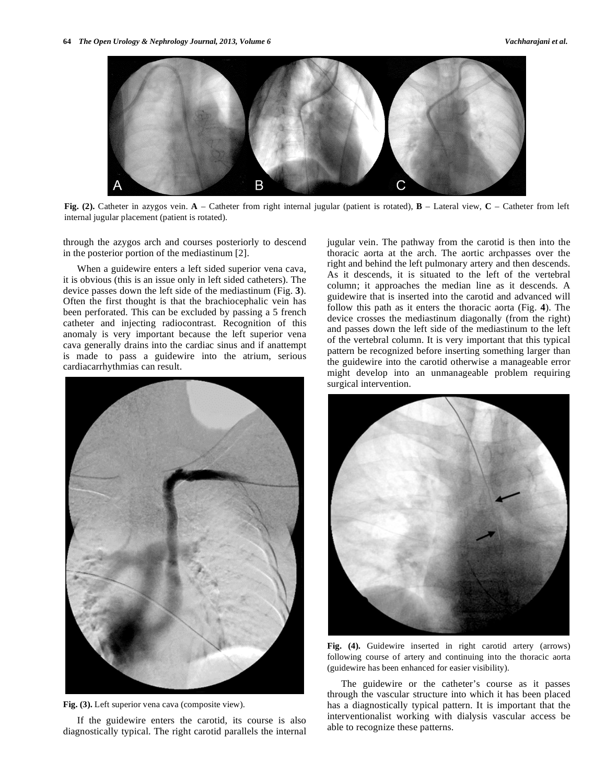

**Fig. (2).** Catheter in azygos vein. **A** – Catheter from right internal jugular (patient is rotated), **B** – Lateral view, **C** – Catheter from left internal jugular placement (patient is rotated).

through the azygos arch and courses posteriorly to descend in the posterior portion of the mediastinum [2].

 When a guidewire enters a left sided superior vena cava, it is obvious (this is an issue only in left sided catheters). The device passes down the left side of the mediastinum (Fig. **3**). Often the first thought is that the brachiocephalic vein has been perforated. This can be excluded by passing a 5 french catheter and injecting radiocontrast. Recognition of this anomaly is very important because the left superior vena cava generally drains into the cardiac sinus and if anattempt is made to pass a guidewire into the atrium, serious cardiacarrhythmias can result.



Fig. (3). Left superior vena cava (composite view).

 If the guidewire enters the carotid, its course is also diagnostically typical. The right carotid parallels the internal jugular vein. The pathway from the carotid is then into the thoracic aorta at the arch. The aortic archpasses over the right and behind the left pulmonary artery and then descends. As it descends, it is situated to the left of the vertebral column; it approaches the median line as it descends. A guidewire that is inserted into the carotid and advanced will follow this path as it enters the thoracic aorta (Fig. **4**). The device crosses the mediastinum diagonally (from the right) and passes down the left side of the mediastinum to the left of the vertebral column. It is very important that this typical pattern be recognized before inserting something larger than the guidewire into the carotid otherwise a manageable error might develop into an unmanageable problem requiring surgical intervention.



**Fig. (4).** Guidewire inserted in right carotid artery (arrows) following course of artery and continuing into the thoracic aorta (guidewire has been enhanced for easier visibility).

 The guidewire or the catheter's course as it passes through the vascular structure into which it has been placed has a diagnostically typical pattern. It is important that the interventionalist working with dialysis vascular access be able to recognize these patterns.